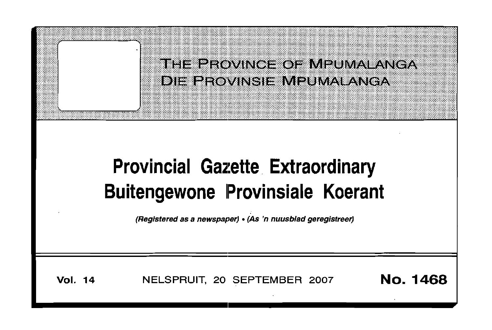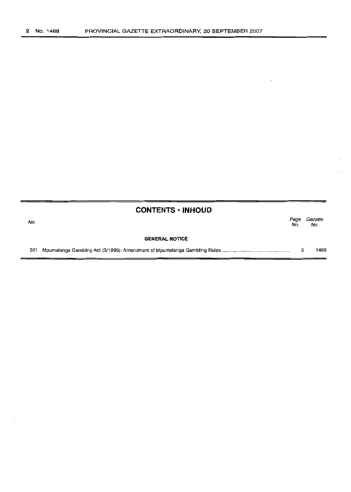|     | <b>CONTENTS · INHOUD</b> |             |                |
|-----|--------------------------|-------------|----------------|
| No. |                          | Page<br>No. | Gazette<br>No. |
|     | <b>GENERAL NOTICE</b>    |             |                |
| 501 |                          | з           | 1468           |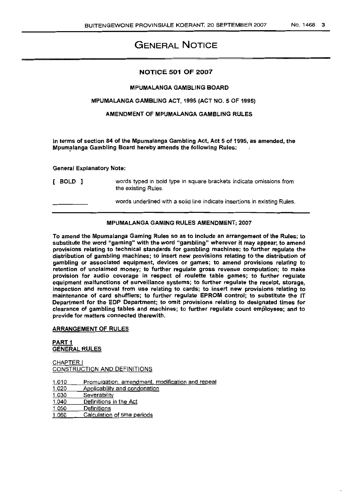# GENERAL NOTICE

### NOTICE 501 OF 2007

### MPUMALANGA GAMBLING BOARD

### MPUMALANGA GAMBLING ACT, 1995 (ACT NO.5 OF 1995)

### AMENDMENT OF MPUMALANGA GAMBLING RULES

In terms of section 84 of the Mpumalanga Gambling Act, Act 5 of 1995, as amended, the Mpumalanga Gambling Board hereby amends the following Rules:

#### General Explanatory Note:

| [ BOLD ] | words typed in bold type in square brackets indicate omissions from<br>the existing Rules. |
|----------|--------------------------------------------------------------------------------------------|
|          | words underlined with a solid line indicate insertions in existing Rules.                  |

### MPUMALANGA GAMING RULES AMENDMENT; 2007

To amend the Mpumalanga Gaming Rules so as to include an arrangement of the Rules; to substitute the word "gaming" with the word "gambling" wherever it may appear; to amend provisions relating to technical standards for gambling machines; to further regulate the distribution of gambling machines; to insert new provisions relating to the distribution of gambling or associated equipment, devices or games; to amend provisions relating to retention of unclaimed money; to further regulate gross revenue computation; to make provision for audio coverage in respect of roulette table games; to further regulate equipment malfunctions of surveillance systems; to further regulate the receipt, storage, inspection and removal from use relating to cards; to insert new provisions relating to maintenance of card shufflers; to further regulate EPROM control; to substitute the IT Department for the EDP Department; to omit provisions relating to designated times for clearance of gambling tables and machines; to further regulate count employees; and to provide for matters connected therewith.

### ARRANGEMENT OF RULES

### PART 1 GENERAL RULES

CHAPTER I CONSTRUCTION AND DEFINITIONS

1.010 Promulgation, amendment, modification and repeal 1.020 Applicability and condonation 1.030 Severability<br>1.040 Definitions in Definitions in the Act 1.050 Definitions<br>1.060 Calculation Calculation of time periods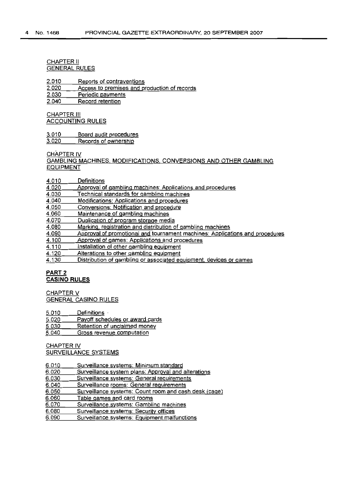#### CHAPTER II GENERAL RULES

2.010 Reports of contraventions

2.020 Access to premises and production of records

2.030 Periodic payments

2.040 Record retention

**CHAPTER III** ACCOUNTING RULES

3.010 Board audit procedures

3.020 Records of ownership

CHAPTER IV

GAMBLING MACHINES. MODIFICATIONS, CONVERSIONS AND OTHER GAMBLING EQUIPMENT

#### 4.010 **Definitions**

- 4.020 Approval of gambling machines: Applications and procedures
- 4.030 Technical standards for gambling machines
- 4.040 Modifications: Applications and procedures
- 4.050 Conversions: Notification and procedure
- 4.060 Maintenance of gambling machines
- 4.070 Duplication of program storage media
- 4.080 Marking, registration and distribution of gambling machines
- 4.090 Approval of promotional and tournament machines: Applications and procedures
- 4.100 Approval of games: Applications and procedures
- 4.110 Installation of other gambling equipment
- 4.120 Alterations to other gambling equipment

4.130 Distribution of gambling or associated equipment, devices or games

### PART 2 **CASINO RULES**

CHAPTER V GENERAL CASINO RULES

5.010 Definitions

5.020 Payoff schedules or award cards

5.030 Retention of unclaimed money

5.040 Gross revenue computation

CHAPTER IV SURVEILLANCE SYSTEMS

- 6.010 Surveillance systems: Minimum standard
- 6.020 Surveillance system plans: Approval and alterations
- 6.030 Surveillance systems: General requirements
- 6.040 Surveillance rooms: General requirements
- 6.050 Surveillance systems: Count room and cash desk (cage)
- 6.060 Table games and card rooms
- 6.070 Surveillance systems: Gambling machines
- 6.080 Surveillance systems: Security offices
- 6.090 Surveillance systems: Equipment malfunctions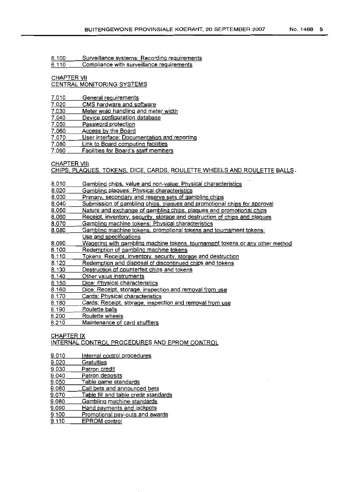6.100 Surveillance systems: Recording requirements

6.110 Compliance with surveillance requirements

### CHAPTER VII

### CENTRAL MONITORING SYSTEMS

- 7.010 General reguirements
- 7.020 CMS hardware and software
- 7.030 Meter wrap handling and meter width
- 7.040 Device configuration database
- 7.050 Password protection
- 7.060 Access by the Board
- 7.070 User interface: Documentation and reporting
- 7.080 Link to Board computing facilities
- 7.090 Facilities for Board's staff members

CHAPTER VIII

CHIPS, PLAQUES. TOKENS, DICE. CARDS. ROULETTE WHEELS AND ROULETTE BALLS.

- 8.010 Gambling chips, value and non-value: Physical characteristics
- 8.020 Gambling plaques: Physical characteristics
- 8.030 Primary, secondary and reserve sets of gambling chips
- 8.040 Submission of gambling chips. plagues and promotional chips for approval
- 8.050 Nature and exchange of gambling chips, plagues and promotional chips
- B.060 Receipt, inventory. security. storage and destruction of chips and plagues
- 8.070 Gambling machine tokens: Physical characteristics
- 8.080 Gambling machine tokens. promotional tokens and tournament tokens: Use and specifications
- 8.090 Wagering with gambling machine tokens, tournament tokens or any other method
- 8.100 Redemption of gambling machine tokens
- 8.110 Tokens: Receipt. inventorv. security, storage and destruction
- 8.120 Redemption and disposal of discontinued chips and tokens
- 8.130 Destruction of counterfeit chips and tokens
- 8.140 Other value instruments
- 8.150 Dice: Physical characteristics
- 8.160 Dice: Receipt, storage, inspection and removal from use
- 8.170 Cards: Physical characteristics
- 8.180 Cards: Receipt, storage, inspection and removal from use
- 8.190 Roulette balls
- 8.200 Roulette wheels
- 8.210 Maintenance of card shufflers

#### **CHAPTER IX**

### INTERNAL CONTROL PROCEDURES AND EPROM CONTROL

- 9.010 Internal control procedures
- 9.020 **Gratuities**
- 9.030 Patron credit
- 9.040 Patron deposits
- 9.050 Table game standards
- 9.060 Call bets and announced bets
- 9.070 Tabie fill and table credit standards
- 9.080 Gambling machine standards
- 9.090 Hand payments and jackpots
- 9.100 Promotional pay-outs and awards
- 9.110 EPROM control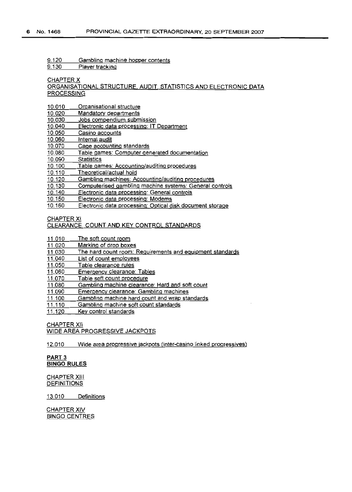9.120 Gambling machine hopper contents

9.130 Plaver tracking

CHAPTER X

ORGANISATIONAL STRUCTURE, AUDIT, STATISTICS AND ELECTRONIC DATA **PROCESSING** 

- 10.010 Organisational structure
- 10.020 Mandatory departments
- 10.030 Jobs compendium submission
- 10.040 Electronic data processing: IT Department
- 10.050 Casino accounts
- 10.060 Internal audit
- 10.070 Cage accounting standards
- 10.080 Table games: Computer generated documentation
- 10.090 **Statistics**
- 10.100 Table games: Accounting/auditing procedures
- 10.110 Theoretical/actual hold
- 10.120 Gambling machines: Accounting/auditing procedures
- 10.130 Computerised gambling machine systems: General controls
- 10.140 Electronic data processing: General controls
- 10.150 Electronic data processing: Modems
- 10.160 Electronic data processing: Optical disk document storage

CHAPTER XI

### CLEARANCE COUNT AND KEY CONTROL STANDARDS

- 11.010 The soft count room
- 11.020 Marking of drop boxes
- 11.030 The hard count room: Reguirements and eguipment standards
- 11.040 List of count employees
- 11.050 Table clearance rules
- 11.060 Emergency clearance: Tables
- 11.070 Table soft count procedure
- 11.080 Gambling machine clearance: Hard and soft count
- 11.090 Emergency clearance: Gambling machines
- 11.100 Gambling machine hard count and wrap standards
- 11.110 Gambling machine soft count standards
- 11.120 Key control standards

CHAPTER XII WIDE AREA PROGRESSIVE JACKPOTS

12.010 Wide area progressive jackpots (inter-casino linked progressives)

### PART 3 **BINGO RULES**

CHAPTER XIII DEFINITIONS

13010 Definitions

CHAPTER XIV BINGO CENTRES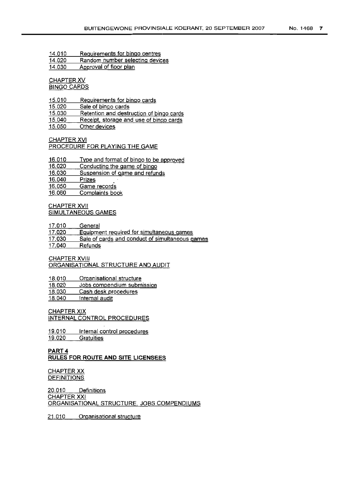14,010 Reguirements for bingo centres

14,020 Random number selecting devices

14,030 Approval of floor plan

#### CHAPTER XV BINGO CARDS

15,010 Reguirements for bingo cards

15,020 Sale of bingo cards

15,030 Retention and destruction of bingo cards

15,040 Receipt. storage and use of binqo cards

15,050 Other devices

#### CHAPTER XVI PROCEDURE FOR PLAYING THE GAME

16,010 Type and format of bingo to be approved

16.020 Conducting the game of bingo

16,030 Suspension of game and refunds

16,040 Prizes

16.050 Game records

16,060 Complaints book

### CHAPTER XVII SIMULTANEOUS GAMES

17.010 **General** 

- 17.020 Equipment required for simultaneous games
- 17.030 Sale of cards and conduct of simultaneous games

17.040 Refunds

### CHAPTER XVIII ORGANISATIONAL STRUCTURE AND AUDIT

18,010 Organisational structure

18,020 Jobs compendium submission

18,030 Cash desk procedures

18,040 Internal audit

### CHAPTER XIX

INTERNAL CONTROL PROCEDURES

19.010 19.020 Internal control procedures **Gratuities** 

## PART 4 **RULES FOR ROUTE AND SITE LICENSEES**

### CHAPTER XX **DEFINITIONS**

20,010 Definitions CHAPTER XXI ORGANISATIONAL STRUCTURE, JOBS COMPENDIUMS

21,010 Organisational structure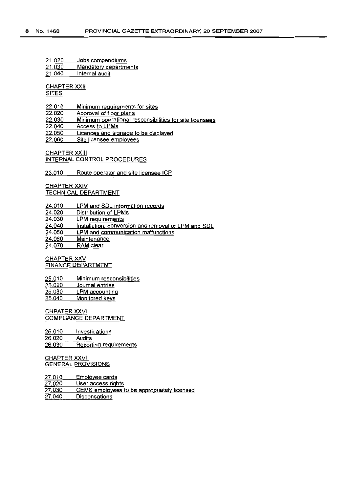21.020 Jobs compendiums

- 21.030 Mandatory departments
- 21.040 Intemal audit

**CHAPTER XXII** 

SITES

- 22.010 Minimum requirements for sites
- 22.020 Approval of floor plans
- 22.030 Minimum operational responsibilities for site licensees
- 22.040 Access to LPMs
- 22.050 Licences and siqnaqe to be displayed
- 22.060 Site licensee emplovees

CHAPTER XXIII INTERNAL CONTROL PROCEDURES

23.010 Route operator and site licensee ICP

CHAPTER XXIV TECHNICAL DEPARTMENT

- 24.010 LPM and SDL information records
- 24.020 Distribution of LPMs
- 24.030 LPM requirements

24.040 Installation. conversion and removal of LPM and SDL

24.050 LPM and communication malfunctions

24.060 **Maintenance** 

24.070 RAM clear

CHAPTER XXV FINANCE DEPARTMENT

25.010 25.020 25.030 25.040 Minimum responsibilities Journal entries LPM accountinq Monitored keys

CHPATER XXVI COMPLIANCE DEPARTMENT

26.010 26.020 26.030 Investigations Audits Reportinq requirements

CHAPTER XXVII GENERAL PROVISIONS

27.010 27.020 27.030 27.040 Employee cards User access rights CEMS employees to be appropriately licensed **Dispensations**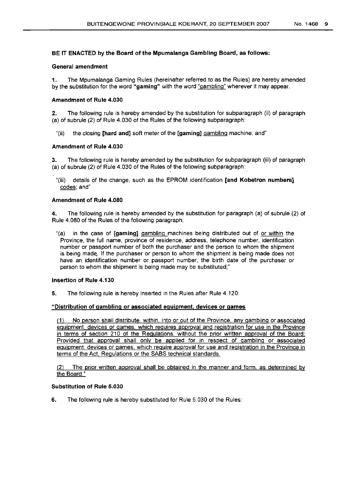### BE IT ENACTED by the Board of the Mpumalanga Gambling Board, as follows:

#### General amendment

1. The Mpumalanga Gaming Rules (hereinafter referred to as the Rules) are hereby amended by the substitution for the word "gaming" with the word "gambling" wherever it may appear.

### Amendment of Rule 4.030

2. The following rule is hereby amended by the substitution for subparagraph (ii) of paragraph (a) of subrule (2) of Rule 4.030 of the Rules of the following subparagraph:

"(ii) the closing [hard and] soft meter of the [gaming] gambling machine; and"

### Amendment of Rule 4.030

3. The folloWing rule is hereby amended by the substitution for subparagraph (iii) of paragraph (a) of subrule (2) of Rule 4.030 of the Rules of the following subparagraph:

"(iii) details of the change, such as the EPROM identification [and Kobetron numbers] codes; and"

### Amendment of Rule 4.080

4. The following rule is hereby amended by the substitution for paragraph (a) of subrule (2) of Rule 4.080 of the Rules of the following paragraph:

"(a) in the case of [gaming] gambling machines being distributed out of or within the Province, the full name, province of residence, address, telephone number, identification number or passport number of both the purchaser and the person to whom the shipment is being made, If the purchaser or person to whom the shipment is being made does not have an identification number or passport number, the birth date of the purchaser or person to whom the shipment is being made may be substituted;"

### Insertion of Rule 4.130

5. The following rule is hereby inserted in the Rules after Rule 4.120:

### "Distribution of gambling or associated equipment, devices or games

(1) No person shall distribute, within, into or out of the Province, any gambling or associated equipment, devices or games. which requires approval and registration for use in the Province in terms of section 210 of the RegUlations, without the prior written approval of the Board: Provided that approval shall only be applied for in respect of gambling or associated eguipment, devices or games, which require approval for use and registration in the Province in terms of the Act, Regulations or the SABS technical standards.

(2) The prior written approval shall be, obtained in the manner and form, as determined by the Board."

### Substitution of Rule 5.030

6. The following rule is hereby substituted for Ruie 5.030 of the Rules: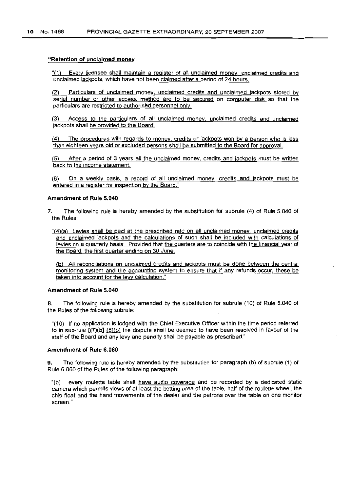#### "Retention of unclaimed money

"(1) Every licensee shall maintain a register of all unclaimed money. unclaimed credits and unclaimed jackpots. which have not been claimed after a period of 24 hours.

(2) Particulars of unclaimed money, unclaimed credits and unclaimed jackpots stored by serial number or other access method are to be secured on computer disk so that the particulars are restricted to authorised personnel only.

(3) Access to the particulars of all unclaimed money unclaimed credits and unclaimed jackpots shall be provided to the Board.

(4) The procedures with regards to money. credits or jackpots won by a person who is less than eiqhteen years old or excluded persons shall be submitted to the Board for approval.

(5) After a period of 3 years all the unclaimed money. credits and jackpots must be written back to the income statement.

(6) On a weekly basis. a record of all unclaimed money, credits and jackpots must be entered in a reqister for inspection by the Board."

#### Amendment of Rule 5,040

- 7, The following rule is hereby amended by the substitution for subrule (4) of Rule 5.040 of the Rules:
	- "(4)(a) Levies shall be paid at the prescribed rate on all unclaimed money. unclaimed credits and unclaimed jackpots and the calculations of such shall be included with calculations of levies on a quarterly basis: Provided that the quarters are to coincide with the financial year of the Board, the first quarter ending on 30 June.

(b) All reconciliations on unclaimed credits and jackpots must be done between the central monitoring system and the accounting system to ensure that if any refunds occur. these be taken into account for the levy calculation."

#### Amendment of Rule 5,040

8. The following rule is hereby amended by the substitution for subrule (10) of Rule 5.040 of the Rules of the following subrule:

"(10) If no application is lodged with the Chief Executive Officer within the time period referred to in sub-rule  $[17)(b]$   $(8)(b)$  the dispute shall be deemed to have been resolved in favour of the staff of the Board and any levy and penalty shall be payable as prescribed."

#### Amendment of Rule 6,060

The following rule is hereby amended by the substitution for paragraph (b) of subrule (1) of Rule 6.060 of the Rules of the following paragraph:

every roulette table shall have audio coverage and be recorded by a dedicated static camera which permits views of at least the betting area of the table. half of the roulette wheel. the chip float and the hand movements of the dealer and the patrons over the table on one monitor screen."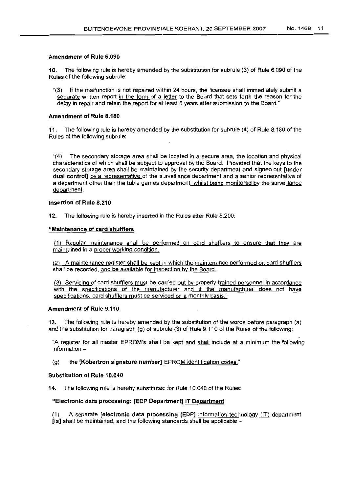#### Amendment of Rule 6.090

10. The following rule is hereby amended by the substitution for subrule (3) of Rule 6.090 of the Rules of the following subrule:

"(3) If the malfunction is not repaired within 24 hours, the licensee shall immediately submit a separate written report in the form of a letter to the Board that sets forth the reason for the delay in repair and retain the report for at least 5 years after submission to the Board."

#### Amendment of Rule 8.180

11. The following rule is hereby amended by the substitution for subrule (4) of Rule 8.180 of the Rules of the following subrule:

"(4) The secondary storage area shall be located in a secure area, the location and physical characteristics of which shall be subject to approval by the Board: Provided that the keys to the secondary storage area shall be maintained by the security department and signed out [under dual control] by a representative of the surveillance department and a senior representative of a department other than the table games department, whilst being monitored by the surveillance department.

#### Insertion of Rule 8.210

12. The following rule is hereby inserted in the Rules after Rule 8.200:

#### "Maintenance of card shufflers

(1) Regular maintenance shall be performed on card shufflers to ensure that they are maintained in a proper working condition.

(2) A maintenance register shall be kept in which the maintenance performed on card shufflers shall be recorded, and be available for inspection by the Board.

(3) Servicing of card shufflers must be carried out by properly trained personnel in accordance with the specifications of the manufacturer and if the manufacturer does not have specifications, card shufflers must be serviced on a monthly basis."

#### Amendment of Rule 9.110

13. The following rule is hereby amended by the substitution of the words before paragraph (a) and the substitution for paragraph (g) of subrule (3) of Rule 9.110 of the Rules of the following:

"A register for all master EPROM's shall be kept and shall include at a minimum the following information  $-$ 

(g) the [Kobertron signature number] EPROM identification codes."

#### Substitution of Rule 10.040

14. The following rule is hereby substituted for Rule 10.040 of the Rules:

### "Electronic data processing: [EDP Department] IT Department

(1) A separate [electronic data processing (EDP] information technology (IT) department  $[$ is] shall be maintained, and the following standards shall be applicable  $-$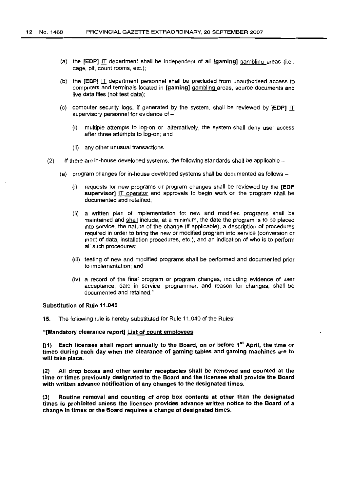- (a) the  $[EDP]$  IT department shall be independent of all  $[gamma]$  gaming] gambling areas (i.e., cage, pit, count rooms, etc.):
- (b) the  $[EDP]$  IT department personnel shall be precluded from unauthorised access to computers and terminals located in [gaming] gambling areas, source documents and live data files (not test data);
- (c) computer security logs, if generated by the system, shall be reviewed by [EOP] IT supervisory personnel for evidence of -
	- (i) multiple attempts to log-on or, alternatively, the system shall deny user access after three attempts to log-on; and
	- (ii) any other unusual transactions.
- (2) If there are in-house developed systems, the following standards shall be applicable  $-$ 
	- (a) program changes for in-house developed systems shall be documented as follows-
		- (i) requests for new programs or program changes shall be reviewed by the [EOP supervisor] IT operator and approvals to begin work on the program shall be documented and retained;
		- (ii) a written plan of implementation for new and modified programs shall be maintained and shall include, at a minimum, the date the program is to be placed into service, the nature of the change (if applicable), a description of procedures required in order to bring the new or modified program into service (conversion or input of data, installation procedures, etc.), and an indication of who is to perform all such procedures;
		- (iii) testing of new and modified programs shall be performed and documented prior to implementation; and
		- (iv) a record of the final program or program changes, including evidence of user acceptance, date in service, programmer, and reason for changes, shall be documented and retained."

#### Substitution of Rule 11.040

15. The following rule is hereby substituted for Rule 11.040 of the Rules:

#### "[Mandatory clearance report] List of count employees

 $[(1)$  Each licensee shall report annually to the Board, on or before 1<sup>st</sup> April, the time or times during each day when the clearance of gaming tables and gaming machines are to will take place.

(2) All drop boxes and other similar receptacles shall be removed and counted at the time or times previously designated to the Board and the licensee shall provide the Board with written advance notification of any changes to the designated times.

(3) Routine removal and counting of drop box contents at other than the designated times is prohibited unless the licensee provides advance written notice to the Board of a change in times or the Board requires a change of designated times.